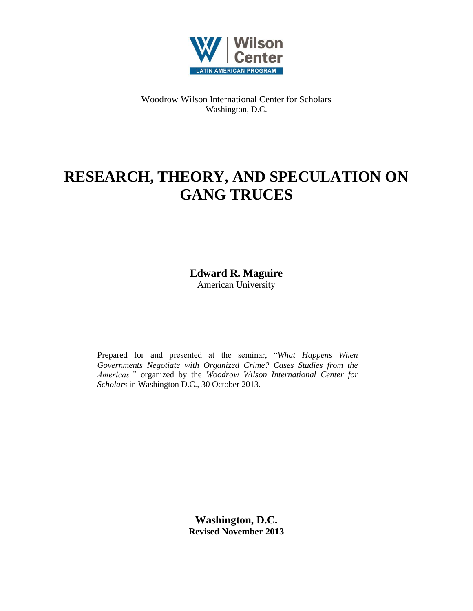

Woodrow Wilson International Center for Scholars Washington, D.C.

# **RESEARCH, THEORY, AND SPECULATION ON GANG TRUCES**

**Edward R. Maguire** American University

Prepared for and presented at the seminar, "*What Happens When Governments Negotiate with Organized Crime? Cases Studies from the Americas,"* organized by the *Woodrow Wilson International Center for Scholars* in Washington D.C., 30 October 2013.

> **Washington, D.C. Revised November 2013**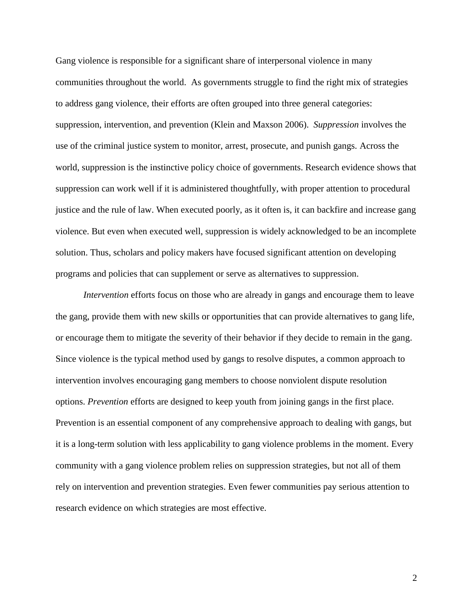Gang violence is responsible for a significant share of interpersonal violence in many communities throughout the world. As governments struggle to find the right mix of strategies to address gang violence, their efforts are often grouped into three general categories: suppression, intervention, and prevention (Klein and Maxson 2006). *Suppression* involves the use of the criminal justice system to monitor, arrest, prosecute, and punish gangs. Across the world, suppression is the instinctive policy choice of governments. Research evidence shows that suppression can work well if it is administered thoughtfully, with proper attention to procedural justice and the rule of law. When executed poorly, as it often is, it can backfire and increase gang violence. But even when executed well, suppression is widely acknowledged to be an incomplete solution. Thus, scholars and policy makers have focused significant attention on developing programs and policies that can supplement or serve as alternatives to suppression.

*Intervention* efforts focus on those who are already in gangs and encourage them to leave the gang, provide them with new skills or opportunities that can provide alternatives to gang life, or encourage them to mitigate the severity of their behavior if they decide to remain in the gang. Since violence is the typical method used by gangs to resolve disputes, a common approach to intervention involves encouraging gang members to choose nonviolent dispute resolution options. *Prevention* efforts are designed to keep youth from joining gangs in the first place. Prevention is an essential component of any comprehensive approach to dealing with gangs, but it is a long-term solution with less applicability to gang violence problems in the moment. Every community with a gang violence problem relies on suppression strategies, but not all of them rely on intervention and prevention strategies. Even fewer communities pay serious attention to research evidence on which strategies are most effective.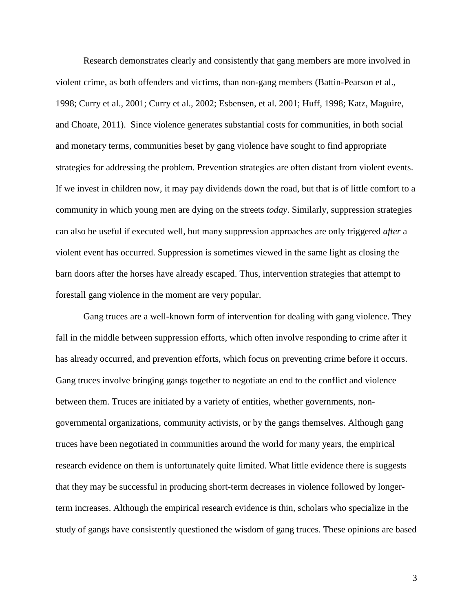Research demonstrates clearly and consistently that gang members are more involved in violent crime, as both offenders and victims, than non-gang members (Battin-Pearson et al., 1998; Curry et al., 2001; Curry et al., 2002; Esbensen, et al. 2001; Huff, 1998; Katz, Maguire, and Choate, 2011). Since violence generates substantial costs for communities, in both social and monetary terms, communities beset by gang violence have sought to find appropriate strategies for addressing the problem. Prevention strategies are often distant from violent events. If we invest in children now, it may pay dividends down the road, but that is of little comfort to a community in which young men are dying on the streets *today*. Similarly, suppression strategies can also be useful if executed well, but many suppression approaches are only triggered *after* a violent event has occurred. Suppression is sometimes viewed in the same light as closing the barn doors after the horses have already escaped. Thus, intervention strategies that attempt to forestall gang violence in the moment are very popular.

Gang truces are a well-known form of intervention for dealing with gang violence. They fall in the middle between suppression efforts, which often involve responding to crime after it has already occurred, and prevention efforts, which focus on preventing crime before it occurs. Gang truces involve bringing gangs together to negotiate an end to the conflict and violence between them. Truces are initiated by a variety of entities, whether governments, nongovernmental organizations, community activists, or by the gangs themselves. Although gang truces have been negotiated in communities around the world for many years, the empirical research evidence on them is unfortunately quite limited. What little evidence there is suggests that they may be successful in producing short-term decreases in violence followed by longerterm increases. Although the empirical research evidence is thin, scholars who specialize in the study of gangs have consistently questioned the wisdom of gang truces. These opinions are based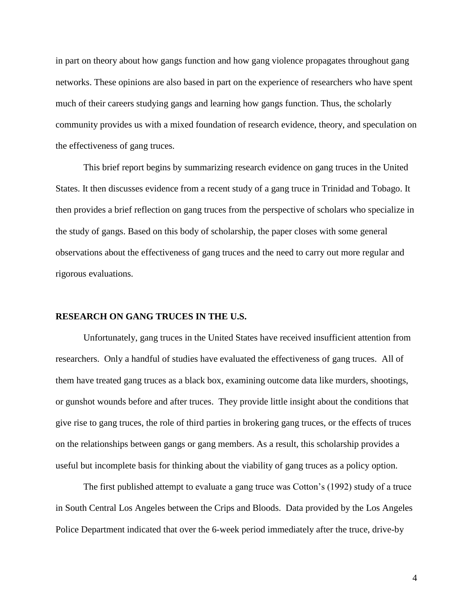in part on theory about how gangs function and how gang violence propagates throughout gang networks. These opinions are also based in part on the experience of researchers who have spent much of their careers studying gangs and learning how gangs function. Thus, the scholarly community provides us with a mixed foundation of research evidence, theory, and speculation on the effectiveness of gang truces.

This brief report begins by summarizing research evidence on gang truces in the United States. It then discusses evidence from a recent study of a gang truce in Trinidad and Tobago. It then provides a brief reflection on gang truces from the perspective of scholars who specialize in the study of gangs. Based on this body of scholarship, the paper closes with some general observations about the effectiveness of gang truces and the need to carry out more regular and rigorous evaluations.

## **RESEARCH ON GANG TRUCES IN THE U.S.**

Unfortunately, gang truces in the United States have received insufficient attention from researchers. Only a handful of studies have evaluated the effectiveness of gang truces. All of them have treated gang truces as a black box, examining outcome data like murders, shootings, or gunshot wounds before and after truces. They provide little insight about the conditions that give rise to gang truces, the role of third parties in brokering gang truces, or the effects of truces on the relationships between gangs or gang members. As a result, this scholarship provides a useful but incomplete basis for thinking about the viability of gang truces as a policy option.

The first published attempt to evaluate a gang truce was Cotton's (1992) study of a truce in South Central Los Angeles between the Crips and Bloods. Data provided by the Los Angeles Police Department indicated that over the 6-week period immediately after the truce, drive-by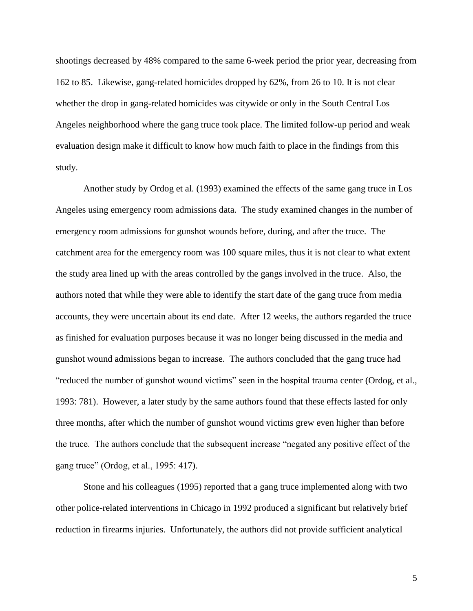shootings decreased by 48% compared to the same 6-week period the prior year, decreasing from 162 to 85. Likewise, gang-related homicides dropped by 62%, from 26 to 10. It is not clear whether the drop in gang-related homicides was citywide or only in the South Central Los Angeles neighborhood where the gang truce took place. The limited follow-up period and weak evaluation design make it difficult to know how much faith to place in the findings from this study.

Another study by Ordog et al. (1993) examined the effects of the same gang truce in Los Angeles using emergency room admissions data. The study examined changes in the number of emergency room admissions for gunshot wounds before, during, and after the truce. The catchment area for the emergency room was 100 square miles, thus it is not clear to what extent the study area lined up with the areas controlled by the gangs involved in the truce. Also, the authors noted that while they were able to identify the start date of the gang truce from media accounts, they were uncertain about its end date. After 12 weeks, the authors regarded the truce as finished for evaluation purposes because it was no longer being discussed in the media and gunshot wound admissions began to increase. The authors concluded that the gang truce had "reduced the number of gunshot wound victims" seen in the hospital trauma center (Ordog, et al., 1993: 781). However, a later study by the same authors found that these effects lasted for only three months, after which the number of gunshot wound victims grew even higher than before the truce. The authors conclude that the subsequent increase "negated any positive effect of the gang truce" (Ordog, et al., 1995: 417).

Stone and his colleagues (1995) reported that a gang truce implemented along with two other police-related interventions in Chicago in 1992 produced a significant but relatively brief reduction in firearms injuries. Unfortunately, the authors did not provide sufficient analytical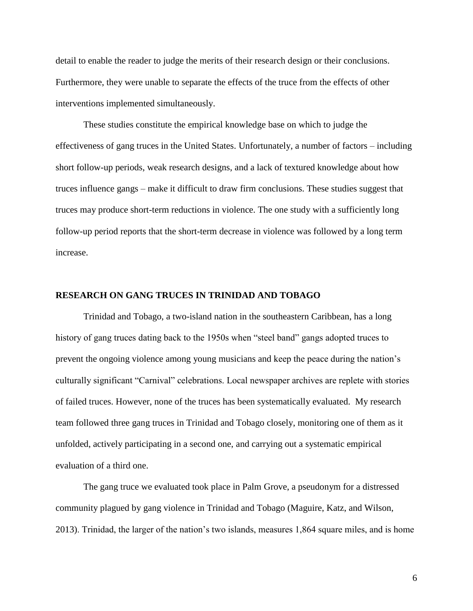detail to enable the reader to judge the merits of their research design or their conclusions. Furthermore, they were unable to separate the effects of the truce from the effects of other interventions implemented simultaneously.

These studies constitute the empirical knowledge base on which to judge the effectiveness of gang truces in the United States. Unfortunately, a number of factors – including short follow-up periods, weak research designs, and a lack of textured knowledge about how truces influence gangs – make it difficult to draw firm conclusions. These studies suggest that truces may produce short-term reductions in violence. The one study with a sufficiently long follow-up period reports that the short-term decrease in violence was followed by a long term increase.

### **RESEARCH ON GANG TRUCES IN TRINIDAD AND TOBAGO**

Trinidad and Tobago, a two-island nation in the southeastern Caribbean, has a long history of gang truces dating back to the 1950s when "steel band" gangs adopted truces to prevent the ongoing violence among young musicians and keep the peace during the nation's culturally significant "Carnival" celebrations. Local newspaper archives are replete with stories of failed truces. However, none of the truces has been systematically evaluated. My research team followed three gang truces in Trinidad and Tobago closely, monitoring one of them as it unfolded, actively participating in a second one, and carrying out a systematic empirical evaluation of a third one.

The gang truce we evaluated took place in Palm Grove, a pseudonym for a distressed community plagued by gang violence in Trinidad and Tobago (Maguire, Katz, and Wilson, 2013). Trinidad, the larger of the nation's two islands, measures 1,864 square miles, and is home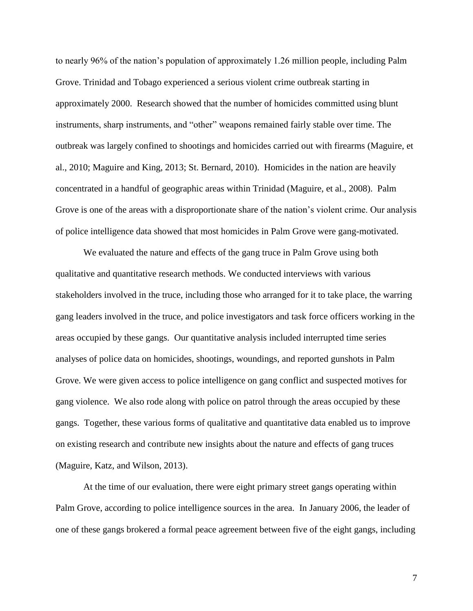to nearly 96% of the nation's population of approximately 1.26 million people, including Palm Grove. Trinidad and Tobago experienced a serious violent crime outbreak starting in approximately 2000. Research showed that the number of homicides committed using blunt instruments, sharp instruments, and "other" weapons remained fairly stable over time. The outbreak was largely confined to shootings and homicides carried out with firearms (Maguire, et al., 2010; Maguire and King, 2013; St. Bernard, 2010). Homicides in the nation are heavily concentrated in a handful of geographic areas within Trinidad (Maguire, et al., 2008). Palm Grove is one of the areas with a disproportionate share of the nation's violent crime. Our analysis of police intelligence data showed that most homicides in Palm Grove were gang-motivated.

We evaluated the nature and effects of the gang truce in Palm Grove using both qualitative and quantitative research methods. We conducted interviews with various stakeholders involved in the truce, including those who arranged for it to take place, the warring gang leaders involved in the truce, and police investigators and task force officers working in the areas occupied by these gangs. Our quantitative analysis included interrupted time series analyses of police data on homicides, shootings, woundings, and reported gunshots in Palm Grove. We were given access to police intelligence on gang conflict and suspected motives for gang violence. We also rode along with police on patrol through the areas occupied by these gangs. Together, these various forms of qualitative and quantitative data enabled us to improve on existing research and contribute new insights about the nature and effects of gang truces (Maguire, Katz, and Wilson, 2013).

At the time of our evaluation, there were eight primary street gangs operating within Palm Grove, according to police intelligence sources in the area. In January 2006, the leader of one of these gangs brokered a formal peace agreement between five of the eight gangs, including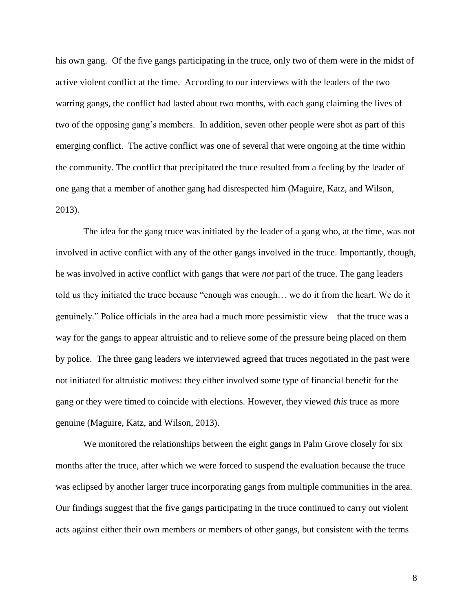his own gang. Of the five gangs participating in the truce, only two of them were in the midst of active violent conflict at the time. According to our interviews with the leaders of the two warring gangs, the conflict had lasted about two months, with each gang claiming the lives of two of the opposing gang's members. In addition, seven other people were shot as part of this emerging conflict. The active conflict was one of several that were ongoing at the time within the community. The conflict that precipitated the truce resulted from a feeling by the leader of one gang that a member of another gang had disrespected him (Maguire, Katz, and Wilson, 2013).

The idea for the gang truce was initiated by the leader of a gang who, at the time, was not involved in active conflict with any of the other gangs involved in the truce. Importantly, though, he was involved in active conflict with gangs that were *not* part of the truce. The gang leaders told us they initiated the truce because "enough was enough… we do it from the heart. We do it genuinely." Police officials in the area had a much more pessimistic view – that the truce was a way for the gangs to appear altruistic and to relieve some of the pressure being placed on them by police. The three gang leaders we interviewed agreed that truces negotiated in the past were not initiated for altruistic motives: they either involved some type of financial benefit for the gang or they were timed to coincide with elections. However, they viewed *this* truce as more genuine (Maguire, Katz, and Wilson, 2013).

We monitored the relationships between the eight gangs in Palm Grove closely for six months after the truce, after which we were forced to suspend the evaluation because the truce was eclipsed by another larger truce incorporating gangs from multiple communities in the area. Our findings suggest that the five gangs participating in the truce continued to carry out violent acts against either their own members or members of other gangs, but consistent with the terms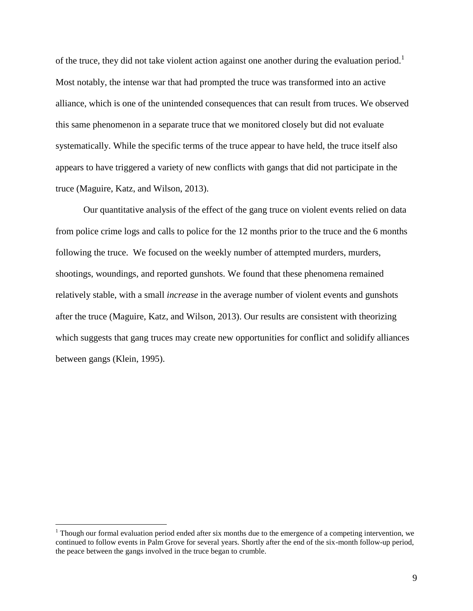of the truce, they did not take violent action against one another during the evaluation period.<sup>1</sup> Most notably, the intense war that had prompted the truce was transformed into an active alliance, which is one of the unintended consequences that can result from truces. We observed this same phenomenon in a separate truce that we monitored closely but did not evaluate systematically. While the specific terms of the truce appear to have held, the truce itself also appears to have triggered a variety of new conflicts with gangs that did not participate in the truce (Maguire, Katz, and Wilson, 2013).

Our quantitative analysis of the effect of the gang truce on violent events relied on data from police crime logs and calls to police for the 12 months prior to the truce and the 6 months following the truce. We focused on the weekly number of attempted murders, murders, shootings, woundings, and reported gunshots. We found that these phenomena remained relatively stable, with a small *increase* in the average number of violent events and gunshots after the truce (Maguire, Katz, and Wilson, 2013). Our results are consistent with theorizing which suggests that gang truces may create new opportunities for conflict and solidify alliances between gangs (Klein, 1995).

 $\overline{a}$ 

 $1$  Though our formal evaluation period ended after six months due to the emergence of a competing intervention, we continued to follow events in Palm Grove for several years. Shortly after the end of the six-month follow-up period, the peace between the gangs involved in the truce began to crumble.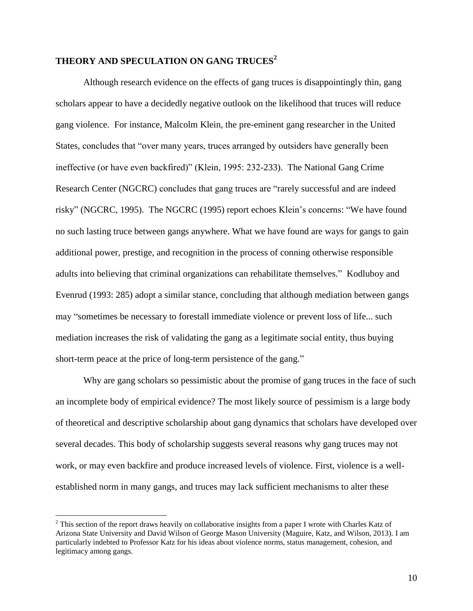## **THEORY AND SPECULATION ON GANG TRUCES<sup>2</sup>**

Although research evidence on the effects of gang truces is disappointingly thin, gang scholars appear to have a decidedly negative outlook on the likelihood that truces will reduce gang violence. For instance, Malcolm Klein, the pre-eminent gang researcher in the United States, concludes that "over many years, truces arranged by outsiders have generally been ineffective (or have even backfired)" (Klein, 1995: 232-233). The National Gang Crime Research Center (NGCRC) concludes that gang truces are "rarely successful and are indeed risky" (NGCRC, 1995). The NGCRC (1995) report echoes Klein's concerns: "We have found no such lasting truce between gangs anywhere. What we have found are ways for gangs to gain additional power, prestige, and recognition in the process of conning otherwise responsible adults into believing that criminal organizations can rehabilitate themselves." Kodluboy and Evenrud (1993: 285) adopt a similar stance, concluding that although mediation between gangs may "sometimes be necessary to forestall immediate violence or prevent loss of life... such mediation increases the risk of validating the gang as a legitimate social entity, thus buying short-term peace at the price of long-term persistence of the gang."

Why are gang scholars so pessimistic about the promise of gang truces in the face of such an incomplete body of empirical evidence? The most likely source of pessimism is a large body of theoretical and descriptive scholarship about gang dynamics that scholars have developed over several decades. This body of scholarship suggests several reasons why gang truces may not work, or may even backfire and produce increased levels of violence. First, violence is a wellestablished norm in many gangs, and truces may lack sufficient mechanisms to alter these

 $\overline{a}$ 

<sup>&</sup>lt;sup>2</sup> This section of the report draws heavily on collaborative insights from a paper I wrote with Charles Katz of Arizona State University and David Wilson of George Mason University (Maguire, Katz, and Wilson, 2013). I am particularly indebted to Professor Katz for his ideas about violence norms, status management, cohesion, and legitimacy among gangs.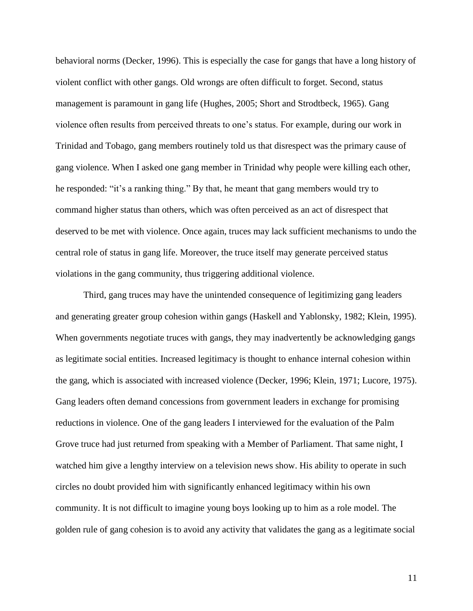behavioral norms (Decker, 1996). This is especially the case for gangs that have a long history of violent conflict with other gangs. Old wrongs are often difficult to forget. Second, status management is paramount in gang life (Hughes, 2005; Short and Strodtbeck, 1965). Gang violence often results from perceived threats to one's status. For example, during our work in Trinidad and Tobago, gang members routinely told us that disrespect was the primary cause of gang violence. When I asked one gang member in Trinidad why people were killing each other, he responded: "it's a ranking thing." By that, he meant that gang members would try to command higher status than others, which was often perceived as an act of disrespect that deserved to be met with violence. Once again, truces may lack sufficient mechanisms to undo the central role of status in gang life. Moreover, the truce itself may generate perceived status violations in the gang community, thus triggering additional violence.

Third, gang truces may have the unintended consequence of legitimizing gang leaders and generating greater group cohesion within gangs (Haskell and Yablonsky, 1982; Klein, 1995). When governments negotiate truces with gangs, they may inadvertently be acknowledging gangs as legitimate social entities. Increased legitimacy is thought to enhance internal cohesion within the gang, which is associated with increased violence (Decker, 1996; Klein, 1971; Lucore, 1975). Gang leaders often demand concessions from government leaders in exchange for promising reductions in violence. One of the gang leaders I interviewed for the evaluation of the Palm Grove truce had just returned from speaking with a Member of Parliament. That same night, I watched him give a lengthy interview on a television news show. His ability to operate in such circles no doubt provided him with significantly enhanced legitimacy within his own community. It is not difficult to imagine young boys looking up to him as a role model. The golden rule of gang cohesion is to avoid any activity that validates the gang as a legitimate social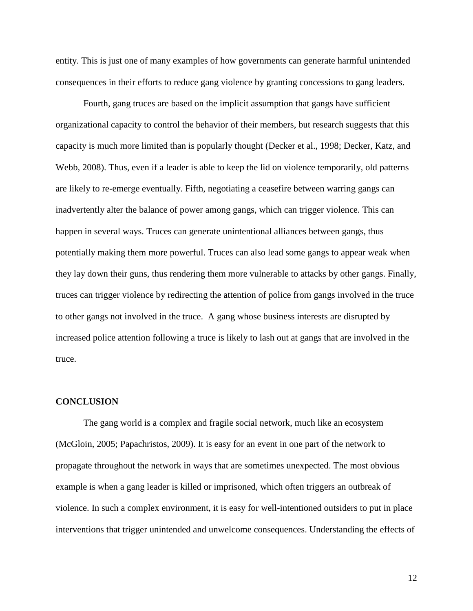entity. This is just one of many examples of how governments can generate harmful unintended consequences in their efforts to reduce gang violence by granting concessions to gang leaders.

Fourth, gang truces are based on the implicit assumption that gangs have sufficient organizational capacity to control the behavior of their members, but research suggests that this capacity is much more limited than is popularly thought (Decker et al., 1998; Decker, Katz, and Webb, 2008). Thus, even if a leader is able to keep the lid on violence temporarily, old patterns are likely to re-emerge eventually. Fifth, negotiating a ceasefire between warring gangs can inadvertently alter the balance of power among gangs, which can trigger violence. This can happen in several ways. Truces can generate unintentional alliances between gangs, thus potentially making them more powerful. Truces can also lead some gangs to appear weak when they lay down their guns, thus rendering them more vulnerable to attacks by other gangs. Finally, truces can trigger violence by redirecting the attention of police from gangs involved in the truce to other gangs not involved in the truce. A gang whose business interests are disrupted by increased police attention following a truce is likely to lash out at gangs that are involved in the truce.

#### **CONCLUSION**

The gang world is a complex and fragile social network, much like an ecosystem (McGloin, 2005; Papachristos, 2009). It is easy for an event in one part of the network to propagate throughout the network in ways that are sometimes unexpected. The most obvious example is when a gang leader is killed or imprisoned, which often triggers an outbreak of violence. In such a complex environment, it is easy for well-intentioned outsiders to put in place interventions that trigger unintended and unwelcome consequences. Understanding the effects of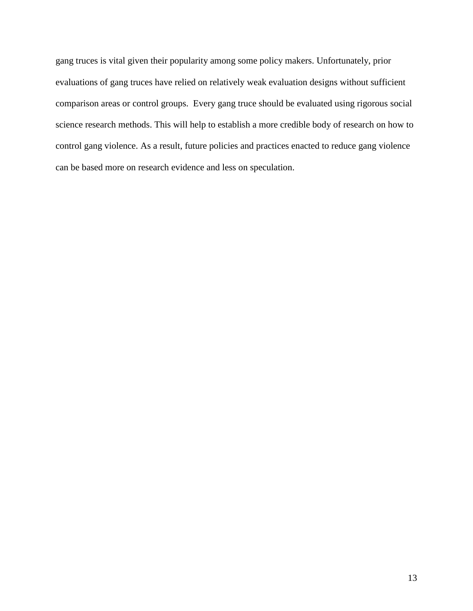gang truces is vital given their popularity among some policy makers. Unfortunately, prior evaluations of gang truces have relied on relatively weak evaluation designs without sufficient comparison areas or control groups. Every gang truce should be evaluated using rigorous social science research methods. This will help to establish a more credible body of research on how to control gang violence. As a result, future policies and practices enacted to reduce gang violence can be based more on research evidence and less on speculation.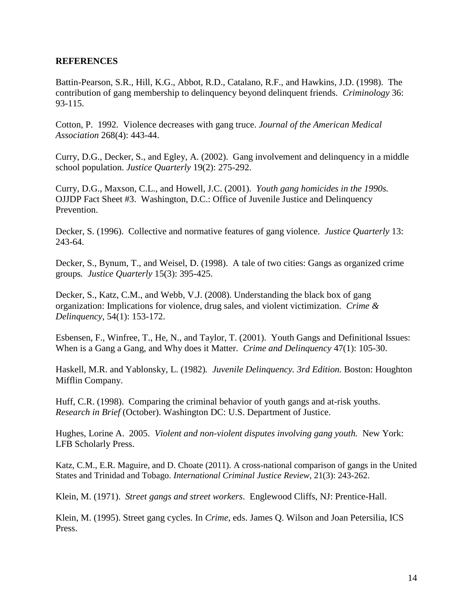## **REFERENCES**

Battin-Pearson, S.R., Hill, K.G., Abbot, R.D., Catalano, R.F., and Hawkins, J.D. (1998). The contribution of gang membership to delinquency beyond delinquent friends. *Criminology* 36: 93-115.

Cotton, P. 1992. Violence decreases with gang truce. *Journal of the American Medical Association* 268(4): 443-44.

Curry, D.G., Decker, S., and Egley, A. (2002). Gang involvement and delinquency in a middle school population. *Justice Quarterly* 19(2): 275-292.

Curry, D.G., Maxson, C.L., and Howell, J.C. (2001). *Youth gang homicides in the 1990s.* OJJDP Fact Sheet #3. Washington, D.C.: Office of Juvenile Justice and Delinquency Prevention.

Decker, S. (1996). Collective and normative features of gang violence. *Justice Quarterly* 13: 243-64.

Decker, S., Bynum, T., and Weisel, D. (1998). A tale of two cities: Gangs as organized crime groups*. Justice Quarterly* 15(3): 395-425.

Decker, S., Katz, C.M., and Webb, V.J. (2008). Understanding the black box of gang organization: Implications for violence, drug sales, and violent victimization. *Crime & Delinquency*, 54(1): 153-172.

Esbensen, F., Winfree, T., He, N., and Taylor, T. (2001). Youth Gangs and Definitional Issues: When is a Gang a Gang, and Why does it Matter. *Crime and Delinquency* 47(1): 105-30.

Haskell, M.R. and Yablonsky, L. (1982)*. Juvenile Delinquency. 3rd Edition.* Boston: Houghton Mifflin Company.

Huff, C.R. (1998). Comparing the criminal behavior of youth gangs and at-risk youths. *Research in Brief* (October). Washington DC: U.S. Department of Justice.

Hughes, Lorine A. 2005. *Violent and non-violent disputes involving gang youth.* New York: LFB Scholarly Press.

Katz, C.M., E.R. Maguire, and D. Choate (2011). A cross-national comparison of gangs in the United States and Trinidad and Tobago. *International Criminal Justice Review*, 21(3): 243-262.

Klein, M. (1971). *Street gangs and street workers*. Englewood Cliffs, NJ: Prentice-Hall.

Klein, M. (1995). Street gang cycles. In *Crime*, eds. James Q. Wilson and Joan Petersilia, ICS Press.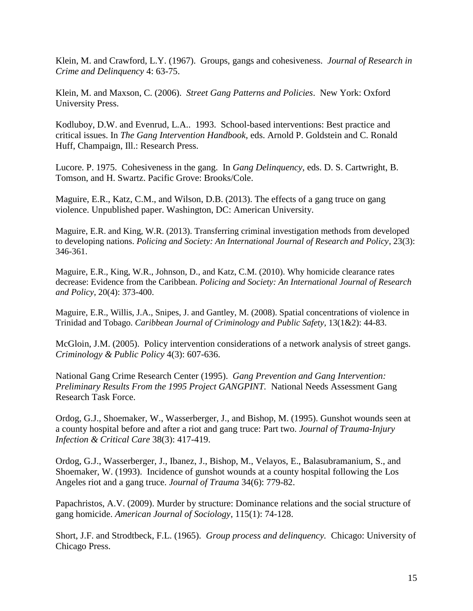Klein, M. and Crawford, L.Y. (1967). Groups, gangs and cohesiveness. *Journal of Research in Crime and Delinquency* 4: 63-75.

Klein, M. and Maxson, C. (2006). *Street Gang Patterns and Policies*. New York: Oxford University Press.

Kodluboy, D.W. and Evenrud, L.A.. 1993. School-based interventions: Best practice and critical issues. In *The Gang Intervention Handbook,* eds. Arnold P. Goldstein and C. Ronald Huff, Champaign, Ill.: Research Press.

Lucore. P. 1975. Cohesiveness in the gang. In *Gang Delinquency*, eds. D. S. Cartwright, B. Tomson, and H. Swartz. Pacific Grove: Brooks/Cole.

Maguire, E.R., Katz, C.M., and Wilson, D.B. (2013). The effects of a gang truce on gang violence. Unpublished paper. Washington, DC: American University.

Maguire, E.R. and King, W.R. (2013). Transferring criminal investigation methods from developed to developing nations. *Policing and Society: An International Journal of Research and Policy*, 23(3): 346-361.

Maguire, E.R., King, W.R., Johnson, D., and Katz, C.M. (2010). Why homicide clearance rates decrease: Evidence from the Caribbean. *Policing and Society: An International Journal of Research and Policy*, 20(4): 373-400.

Maguire, E.R., Willis, J.A., Snipes, J. and Gantley, M. (2008). Spatial concentrations of violence in Trinidad and Tobago. *Caribbean Journal of Criminology and Public Safety*, 13(1&2): 44-83.

McGloin, J.M. (2005). Policy intervention considerations of a network analysis of street gangs. *Criminology & Public Policy* 4(3): 607-636.

National Gang Crime Research Center (1995). *Gang Prevention and Gang Intervention: Preliminary Results From the 1995 Project GANGPINT.* National Needs Assessment Gang Research Task Force.

Ordog, G.J., Shoemaker, W., Wasserberger, J., and Bishop, M. (1995). Gunshot wounds seen at a county hospital before and after a riot and gang truce: Part two. *Journal of Trauma-Injury Infection & Critical Care* 38(3): 417-419.

Ordog, G.J., Wasserberger, J., Ibanez, J., Bishop, M., Velayos, E., Balasubramanium, S., and Shoemaker, W. (1993). Incidence of gunshot wounds at a county hospital following the Los Angeles riot and a gang truce. *Journal of Trauma* 34(6): 779-82.

Papachristos, A.V. (2009). Murder by structure: Dominance relations and the social structure of gang homicide. *American Journal of Sociology*, 115(1): 74-128.

Short, J.F. and Strodtbeck, F.L. (1965). *Group process and delinquency.* Chicago: University of Chicago Press.